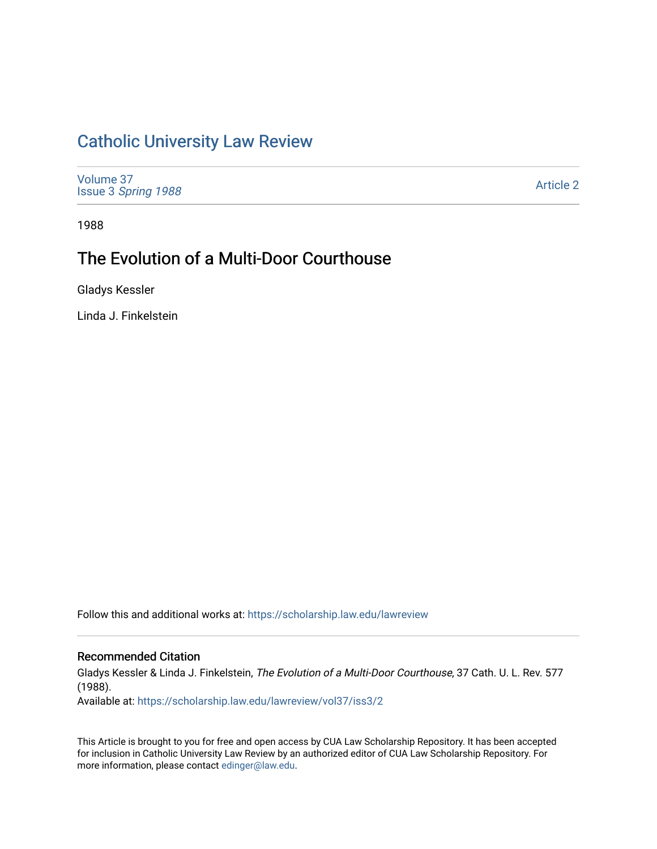# [Catholic University Law Review](https://scholarship.law.edu/lawreview)

[Volume 37](https://scholarship.law.edu/lawreview/vol37) Issue 3 [Spring 1988](https://scholarship.law.edu/lawreview/vol37/iss3) 

[Article 2](https://scholarship.law.edu/lawreview/vol37/iss3/2) 

1988

# The Evolution of a Multi-Door Courthouse

Gladys Kessler

Linda J. Finkelstein

Follow this and additional works at: [https://scholarship.law.edu/lawreview](https://scholarship.law.edu/lawreview?utm_source=scholarship.law.edu%2Flawreview%2Fvol37%2Fiss3%2F2&utm_medium=PDF&utm_campaign=PDFCoverPages)

# Recommended Citation

Gladys Kessler & Linda J. Finkelstein, The Evolution of a Multi-Door Courthouse, 37 Cath. U. L. Rev. 577 (1988).

Available at: [https://scholarship.law.edu/lawreview/vol37/iss3/2](https://scholarship.law.edu/lawreview/vol37/iss3/2?utm_source=scholarship.law.edu%2Flawreview%2Fvol37%2Fiss3%2F2&utm_medium=PDF&utm_campaign=PDFCoverPages)

This Article is brought to you for free and open access by CUA Law Scholarship Repository. It has been accepted for inclusion in Catholic University Law Review by an authorized editor of CUA Law Scholarship Repository. For more information, please contact [edinger@law.edu.](mailto:edinger@law.edu)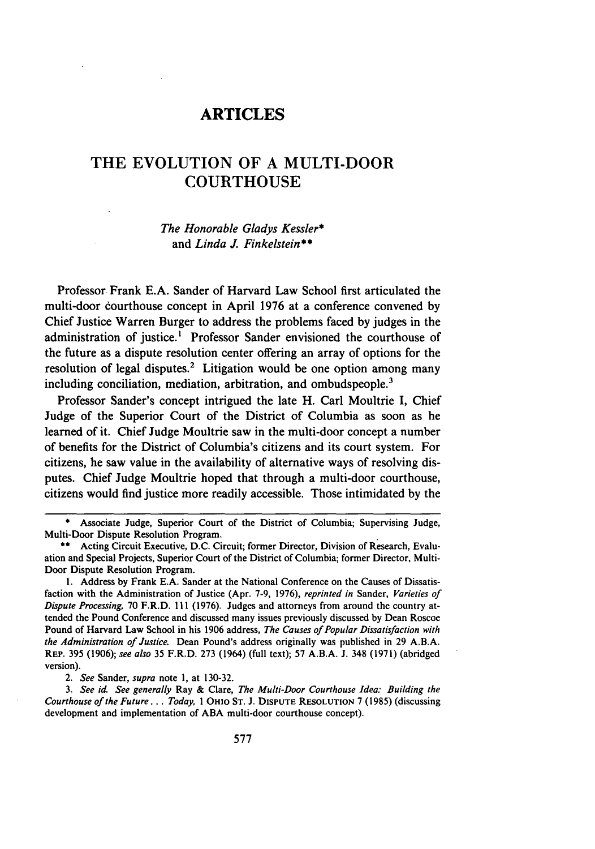# ARTICLES

# THE **EVOLUTION** OF **A MULTI-DOOR COURTHOUSE**

# *The Honorable Gladys Kessler\** and *Linda J. Finkelstein\*\**

Professor. Frank **E.A.** Sander of Harvard Law School first articulated the multi-door courthouse concept in April **1976** at a conference convened **by** Chief Justice Warren Burger to address the problems faced **by** judges in the administration of justice.' Professor Sander envisioned the courthouse of the future as a dispute resolution center offering an array of options for the resolution of legal disputes.<sup>2</sup> Litigation would be one option among many including conciliation, mediation, arbitration, and ombudspeople.<sup>3</sup>

Professor Sander's concept intrigued the late H. Carl Moultrie **I,** Chief Judge of the Superior Court of the District of Columbia as soon as he learned of it. Chief Judge Moultrie saw in the multi-door concept a number of benefits for the District of Columbia's citizens and its court system. For citizens, he saw value in the availability of alternative ways of resolving disputes. Chief Judge Moultrie hoped that through a multi-door courthouse, citizens would find justice more readily accessible. Those intimidated **by** the

**\*** Associate Judge, Superior Court of the District of Columbia; Supervising Judge, Multi-Door Dispute Resolution Program.

*2. See* Sander, *supra* note I, at 130-32.

*3. See id. See generally* Ray & Clare, *The Multi-Door Courthouse Idea: Building the Courthouse of the Future... Today,* 1 OHIO **ST.** J. **DISPUTE RESOLUTION** 7 (1985) (discussing development and implementation of ABA multi-door courthouse concept).

**<sup>\*\*</sup>** Acting Circuit Executive, D.C. Circuit; former Director, Division of Research, Evaluation and Special Projects, Superior Court of the District of Columbia; former Director, Multi-Door Dispute Resolution Program.

<sup>1.</sup> Address **by** Frank E.A. Sander at the National Conference on the Causes of Dissatisfaction with the Administration of Justice (Apr. 7-9, 1976), *reprinted in* Sander, *Varieties of Dispute Processing,* **70** F.R.D. **111** (1976). Judges and attorneys from around the country attended the Pound Conference and discussed many issues previously discussed by Dean Roscoe Pound of Harvard Law School in his 1906 address, *The Causes of Popular Dissatisfaction with the Administration of Justice.* Dean Pound's address originally was published in 29 A.B.A. **REP.** 395 (1906); *see also* 35 F.R.D. 273 (1964) (full text); 57 A.B.A. J. 348 (1971) (abridged version).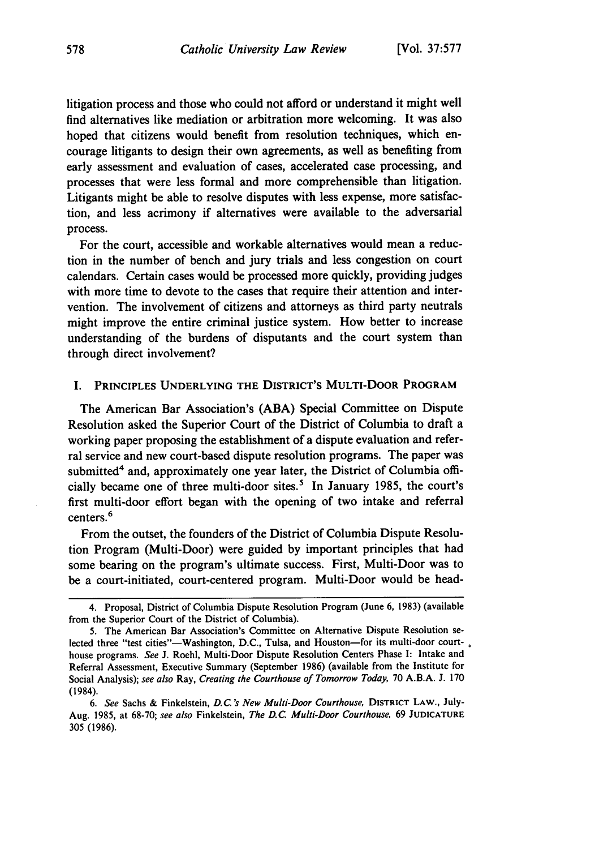litigation process and those who could not afford or understand it might well find alternatives like mediation or arbitration more welcoming. It was also hoped that citizens would benefit from resolution techniques, which encourage litigants to design their own agreements, as well as benefiting from early assessment and evaluation of cases, accelerated case processing, and processes that were less formal and more comprehensible than litigation. Litigants might be able to resolve disputes with less expense, more satisfaction, and less acrimony if alternatives were available to the adversarial process.

For the court, accessible and workable alternatives would mean a reduction in the number of bench and jury trials and less congestion on court calendars. Certain cases would be processed more quickly, providing judges with more time to devote to the cases that require their attention and intervention. The involvement of citizens and attorneys as third party neutrals might improve the entire criminal justice system. How better to increase understanding of the burdens of disputants and the court system than through direct involvement?

#### I. **PRINCIPLES UNDERLYING THE DISTRICT'S MULTI-DOOR PROGRAM**

The American Bar Association's **(ABA)** Special Committee on Dispute Resolution asked the Superior Court of the District of Columbia to draft a working paper proposing the establishment of a dispute evaluation and referral service and new court-based dispute resolution programs. The paper was submitted<sup>4</sup> and, approximately one year later, the District of Columbia officially became one of three multi-door sites.<sup>5</sup> In January 1985, the court's first multi-door effort began with the opening of two intake and referral centers.<sup>6</sup>

From the outset, the founders of the District of Columbia Dispute Resolution Program (Multi-Door) were guided by important principles that had some bearing on the program's ultimate success. First, Multi-Door was to be a court-initiated, court-centered program. Multi-Door would be head-

<sup>4.</sup> Proposal, District of Columbia Dispute Resolution Program (June 6, 1983) (available from the Superior Court of the District of Columbia).

<sup>5.</sup> The American Bar Association's Committee on Alternative Dispute Resolution selected three "test cities"—Washington, D.C., Tulsa, and Houston—for its multi-door courthouse programs. See J. Roehl, Multi-Door Dispute Resolution Centers Phase I: Intake and Referral Assessment, Executive Summary (September 1986) (available from the Institute for Social Analysis); see also Ray, Creating the Courthouse *of Tomorrow Today,* 70 A.B.A. J. 170 (1984).

*<sup>6.</sup> See* Sachs & Finkelstein, *D.C. 's New Multi-Door Courthouse,* DISTRICT LAW., **July-**Aug. 1985, at 68-70; *see also* Finkelstein, *The* D.C. Multi-Door *Courthouse,* 69 JUDICATURE 305 (1986).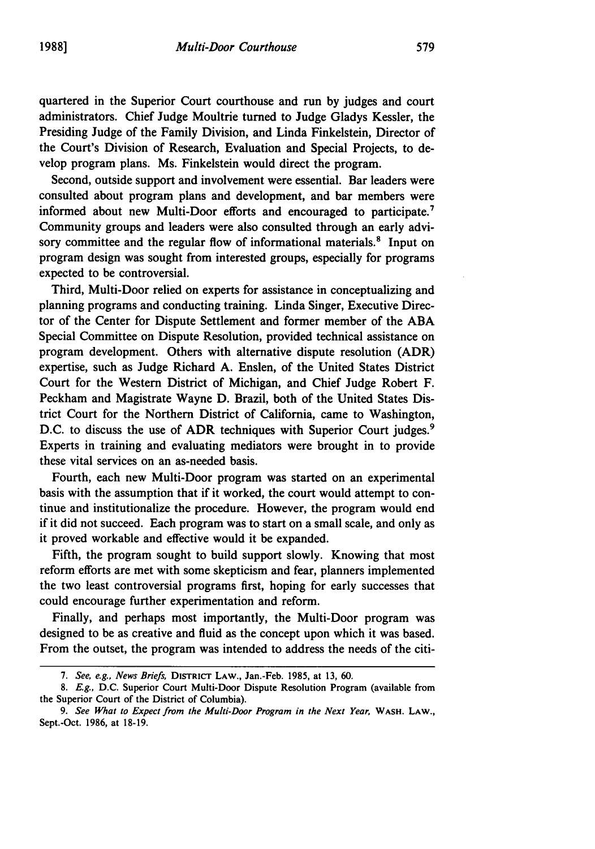quartered in the Superior Court courthouse and run **by** judges and court administrators. Chief Judge Moultrie turned to Judge Gladys Kessler, the Presiding Judge of the Family Division, and Linda Finkelstein, Director of the Court's Division of Research, Evaluation and Special Projects, to develop program plans. Ms. Finkelstein would direct the program.

Second, outside support and involvement were essential. Bar leaders were consulted about program plans and development, and bar members were informed about new Multi-Door efforts and encouraged to participate.<sup>7</sup> Community groups and leaders were also consulted through an early advisory committee and the regular flow of informational materials.<sup>8</sup> Input on program design was sought from interested groups, especially for programs expected to be controversial.

Third, Multi-Door relied on experts for assistance in conceptualizing and planning programs and conducting training. Linda Singer, Executive Director of the Center for Dispute Settlement and former member of the **ABA** Special Committee on Dispute Resolution, provided technical assistance on program development. Others with alternative dispute resolution (ADR) expertise, such as Judge Richard **A.** Enslen, of the United States District Court for the Western District of Michigan, and Chief Judge Robert F. Peckham and Magistrate Wayne **D.** Brazil, both of the United States District Court for the Northern District of California, came to Washington, D.C. to discuss the use of ADR techniques with Superior Court judges.<sup>9</sup> Experts in training and evaluating mediators were brought in to provide these vital services on an as-needed basis.

Fourth, each new Multi-Door program was started on an experimental basis with the assumption that if it worked, the court would attempt to continue and institutionalize the procedure. However, the program would end if it did not succeed. Each program was to start on a small scale, and only as it proved workable and effective would it be expanded.

Fifth, the program sought to build support slowly. Knowing that most reform efforts are met with some skepticism and fear, planners implemented the two least controversial programs first, hoping for early successes that could encourage further experimentation and reform.

Finally, and perhaps most importantly, the Multi-Door program was designed to be as creative and fluid as the concept upon which it was based. From the outset, the program was intended to address the needs of the citi-

*<sup>7.</sup> See, e.g., News Briefs,* **DISTRIcT** LAW., Jan.-Feb. 1985, at **13, 60.**

*<sup>8.</sup> E.g.,* **D.C.** Superior Court Multi-Door Dispute Resolution Program (available from the Superior Court of the District of Columbia).

*<sup>9.</sup> See What to Expect from the Multi-Door Program in the Next Year,* **WASH. LAW.,** Sept.-Oct. **1986,** at **18-19.**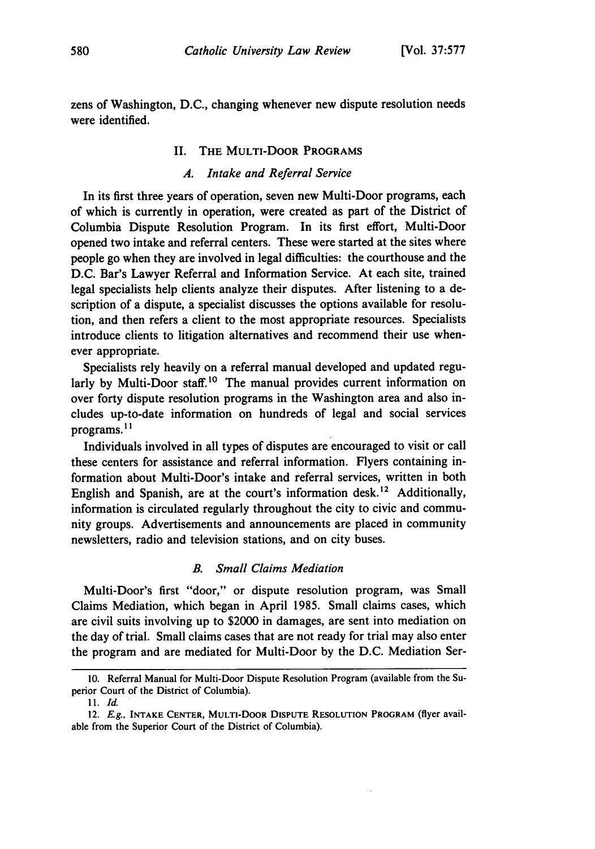zens of Washington, D.C., changing whenever new dispute resolution needs were identified.

# II. THE MULTI-DOOR PROGRAMS

# *A. Intake and Referral Service*

In its first three years of operation, seven new Multi-Door programs, each of which is currently in operation, were created as part of the District of Columbia Dispute Resolution Program. In its first effort, Multi-Door opened two intake and referral centers. These were started at the sites where people go when they are involved in legal difficulties: the courthouse and the D.C. Bar's Lawyer Referral and Information Service. At each site, trained legal specialists help clients analyze their disputes. After listening to a description of a dispute, a specialist discusses the options available for resolution, and then refers a client to the most appropriate resources. Specialists introduce clients to litigation alternatives and recommend their use whenever appropriate.

Specialists rely heavily on a referral manual developed and updated regularly by Multi-Door staff.<sup>10</sup> The manual provides current information on over forty dispute resolution programs in the Washington area and also includes up-to-date information on hundreds of legal and social services programs.1"

Individuals involved in all types of disputes are encouraged to visit or call these centers for assistance and referral information. Flyers containing information about Multi-Door's intake and referral services, written in both English and Spanish, are at the court's information desk.<sup>12</sup> Additionally, information is circulated regularly throughout the city to civic and community groups. Advertisements and announcements are placed in community newsletters, radio and television stations, and on city buses.

### *B. Small Claims Mediation*

Multi-Door's first "door," or dispute resolution program, was Small Claims Mediation, which began in April 1985. Small claims cases, which are civil suits involving up to \$2000 in damages, are sent into mediation on the day of trial. Small claims cases that are not ready for trial may also enter the program and are mediated for Multi-Door by the D.C. Mediation Ser-

<sup>10.</sup> Referral Manual for Multi-Door Dispute Resolution Program (available from the Superior Court of the District of Columbia).

**I1.** *Id.*

<sup>12.</sup> *E.g.,* **INTAKE CENTER,** MULTI-DOOR **DISPUTE RESOLUTION** PROGRAM (flyer available from the Superior Court of the District of Columbia).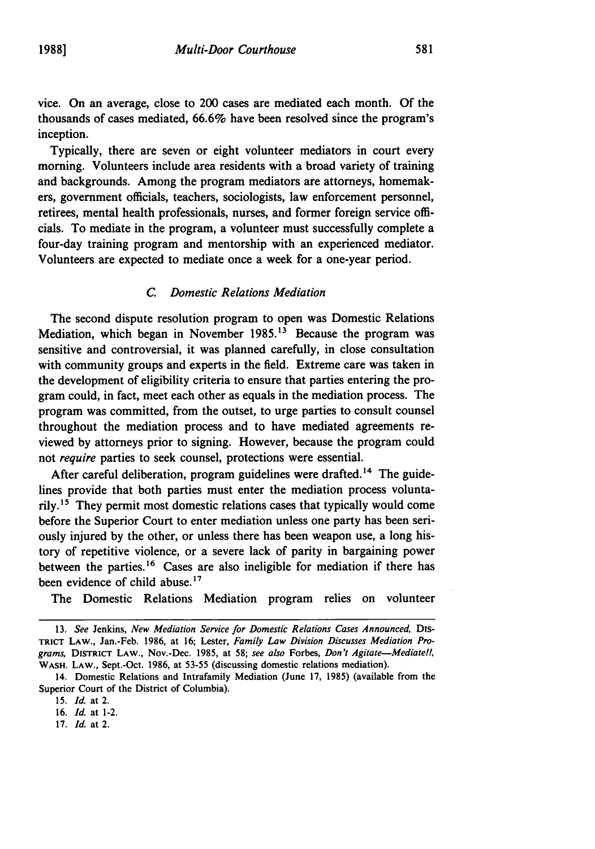vice. On an average, close to 200 cases are mediated each month. **Of** the thousands of cases mediated, **66.6%** have been resolved since the program's inception.

Typically, there are seven or eight volunteer mediators in court every morning. Volunteers include area residents with a broad variety of training and backgrounds. Among the program mediators are attorneys, homemakers, government officials, teachers, sociologists, law enforcement personnel, retirees, mental health professionals, nurses, and former foreign service officials. To mediate in the program, a volunteer must successfully complete a four-day training program and mentorship with an experienced mediator. Volunteers are expected to mediate once a week for a one-year period.

# *C. Domestic Relations Mediation*

The second dispute resolution program to open was Domestic Relations Mediation, which began in November **1985.13** Because the program was sensitive and controversial, it was planned carefully, in close consultation with community groups and experts in the field. Extreme care was taken in the development of eligibility criteria to ensure that parties entering the program could, in fact, meet each other as equals in the mediation process. The program was committed, from the outset, to urge parties to consult counsel throughout the mediation process and to have mediated agreements reviewed **by** attorneys prior to signing. However, because the program could not *require* parties to seek counsel, protections were essential.

After careful deliberation, program guidelines were drafted.<sup>14</sup> The guidelines provide that both parties must enter the mediation process voluntarily.15 They permit most domestic relations cases that typically would come before the Superior Court to enter mediation unless one party has been seriously injured **by** the other, or unless there has been weapon use, a long history of repetitive violence, or a severe lack of parity in bargaining power between the parties. 16 Cases are also ineligible for mediation if there has been evidence of child abuse.<sup>17</sup>

The Domestic Relations Mediation program relies on volunteer

**16.** *Id.* at 1-2.

**<sup>13.</sup>** *See* Jenkins, *New Mediation Service for Domestic Relations Cases Announced,* **Dis-TRICT LAW.,** Jan.-Feb. **1986,** at **16;** Lester, *Family Law Division Discusses Mediation Programs,* **DISTRICT LAW.,** Nov.-Dec. **1985,** at **58;** *see also* Forbes, *Don't Agitate-Mediate!,* **WASH. LAW.,** Sept.-Oct. **1986,** at **53-55** (discussing domestic relations mediation).

<sup>14.</sup> Domestic Relations and Intrafamily Mediation (June **17, 1985)** (available from the Superior Court of the District of Columbia).

**<sup>15.</sup>** *Id.* at 2.

**<sup>17.</sup>** *Id.* at 2.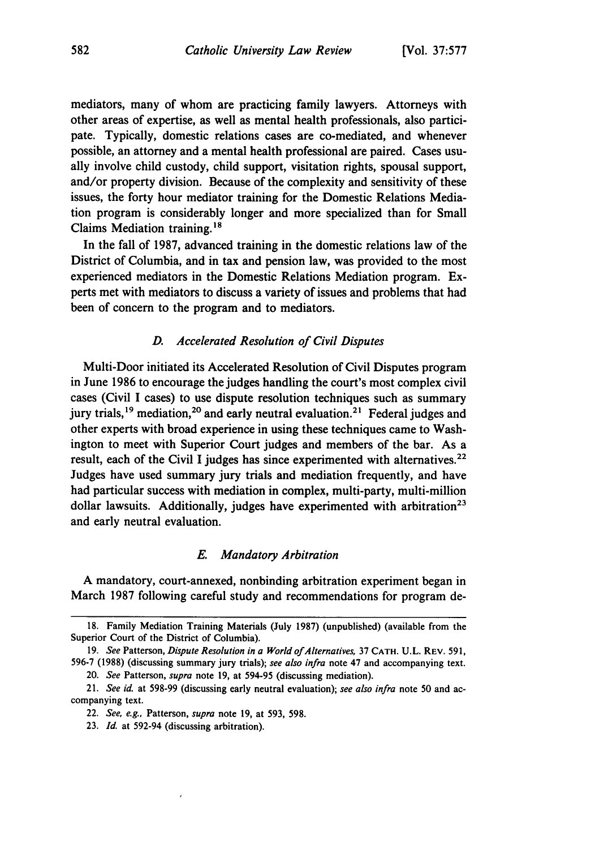mediators, many of whom are practicing family lawyers. Attorneys with other areas of expertise, as well as mental health professionals, also participate. Typically, domestic relations cases are co-mediated, and whenever possible, an attorney and a mental health professional are paired. Cases usually involve child custody, child support, visitation rights, spousal support, and/or property division. Because of the complexity and sensitivity of these issues, the forty hour mediator training for the Domestic Relations Mediation program is considerably longer and more specialized than for Small Claims Mediation training.<sup>18</sup>

In the fall of **1987,** advanced training in the domestic relations law of the District of Columbia, and in tax and pension law, was provided to the most experienced mediators in the Domestic Relations Mediation program. Experts met with mediators to discuss a variety of issues and problems that had been of concern to the program and to mediators.

# *D. Accelerated Resolution of Civil Disputes*

Multi-Door initiated its Accelerated Resolution of Civil Disputes program in June **1986** to encourage the judges handling the court's most complex civil cases (Civil I cases) to use dispute resolution techniques such as summary jury trials,<sup>19</sup> mediation,<sup>20</sup> and early neutral evaluation.<sup>21</sup> Federal judges and other experts with broad experience in using these techniques came to Washington to meet with Superior Court judges and members of the bar. As a result, each of the Civil I judges has since experimented with alternatives.<sup>22</sup> Judges have used summary jury trials and mediation frequently, and have had particular success with mediation in complex, multi-party, multi-million dollar lawsuits. Additionally, judges have experimented with arbitration<sup>23</sup> and early neutral evaluation.

## *E. Mandatory Arbitration*

**A** mandatory, court-annexed, nonbinding arbitration experiment began in March **1987** following careful study and recommendations for program de-

20. *See* Patterson, *supra* note 19, at 594-95 (discussing mediation).

**<sup>18.</sup>** Family Mediation Training Materials (July **1987)** (unpublished) (available from the Superior Court of the District of Columbia).

<sup>19.</sup> *See* Patterson, *Dispute Resolution in a World ofAlternatives,* 37 **CATH.** U.L. REV. 591, 596-7 (1988) (discussing summary jury trials); *see also infra* note 47 and accompanying text.

<sup>21.</sup> *See id.* at 598-99 (discussing early neutral evaluation); *see also infra* note 50 and accompanying text.

<sup>22.</sup> *See, e.g.,* Patterson, *supra* note 19, at 593, 598.

<sup>23.</sup> *Id.* at 592-94 (discussing arbitration).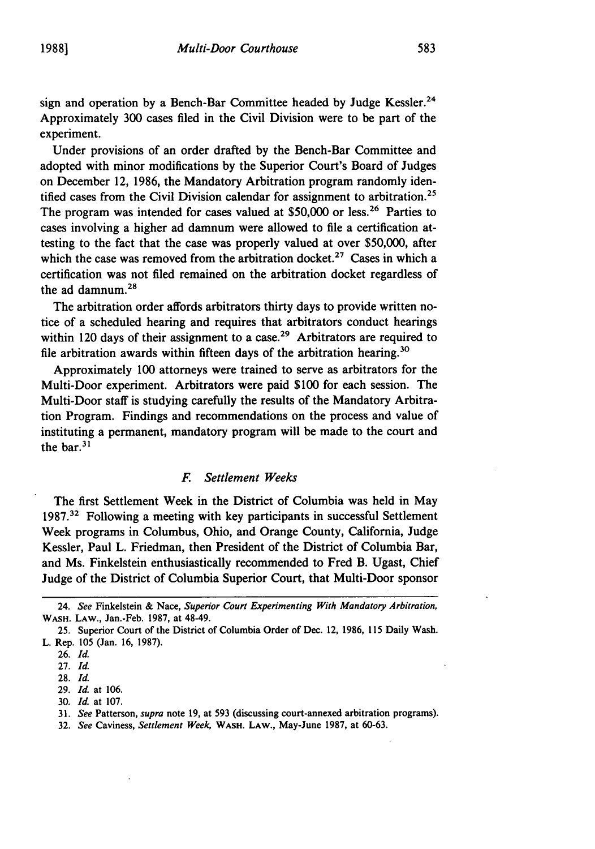sign and operation **by** a Bench-Bar Committee headed **by** Judge Kessler.24 Approximately 300 cases filed in the Civil Division were to be part of the experiment.

Under provisions of an order drafted by the Bench-Bar Committee and adopted with minor modifications by the Superior Court's Board of Judges on December 12, 1986, the Mandatory Arbitration program randomly identified cases from the Civil Division calendar for assignment to arbitration.<sup>25</sup> The program was intended for cases valued at  $$50,000$  or less.<sup>26</sup> Parties to cases involving a higher ad damnum were allowed to file a certification attesting to the fact that the case was properly valued at over \$50,000, after which the case was removed from the arbitration docket.<sup>27</sup> Cases in which a certification was not filed remained on the arbitration docket regardless of the ad damnum. $2^{\circ}$ 

The arbitration order affords arbitrators thirty days to provide written notice of a scheduled hearing and requires that arbitrators conduct hearings within 120 days of their assignment to a case.<sup>29</sup> Arbitrators are required to file arbitration awards within fifteen days of the arbitration hearing.<sup>36</sup>

Approximately 100 attorneys were trained to serve as arbitrators for the Multi-Door experiment. Arbitrators were paid \$100 for each session. The Multi-Door staff is studying carefully the results of the Mandatory Arbitration Program. Findings and recommendations on the process and value of instituting a permanent, mandatory program will be made to the court and the bar.<sup>31</sup>

## *F. Settlement Weeks*

The first Settlement Week in the District of Columbia was held in May 1987.32 Following a meeting with key participants in successful Settlement Week programs in Columbus, Ohio, and Orange County, California, Judge Kessler, Paul L. Friedman, then President of the District of Columbia Bar, and Ms. Finkelstein enthusiastically recommended to Fred B. Ugast, Chief Judge of the District of Columbia Superior Court, that Multi-Door sponsor

<sup>24.</sup> *See* Finkelstein & Nace, *Superior Court Experimenting With Mandatory Arbitration,* WASH. **LAW.,** Jan.-Feb. **1987,** at 48-49.

**<sup>25.</sup>** Superior Court of the District of Columbia Order of Dec. 12, **1986, 115** Daily Wash. L. Rep. **105** (Jan. **16, 1987).**

**<sup>26.</sup>** *Id.*

**<sup>27.</sup>** *Id.*

**<sup>28.</sup>** *Id.*

**<sup>29.</sup>** *Id.* at **106.**

**<sup>30.</sup>** *Id.* at **107.**

**<sup>31.</sup>** *See* Patterson, *supra* note **19,** at **593** (discussing court-annexed arbitration programs).

**<sup>32.</sup>** *See* Caviness, *Settlement Week,* **WASH. LAW.,** May-June **1987,** at **60-63.**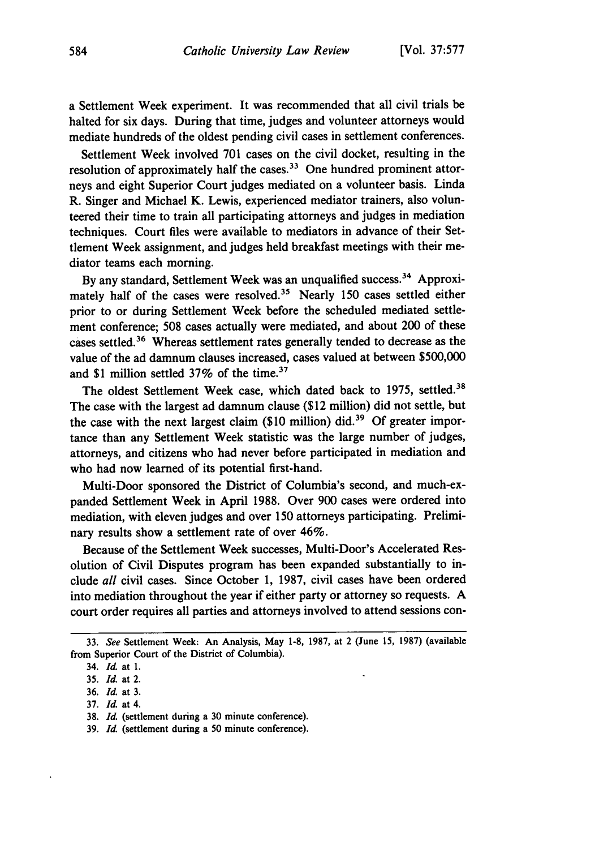a Settlement Week experiment. It was recommended that all civil trials be halted for six days. During that time, judges and volunteer attorneys would mediate hundreds of the oldest pending civil cases in settlement conferences.

Settlement Week involved 701 cases on the civil docket, resulting in the resolution of approximately half the cases.<sup>33</sup> One hundred prominent attorneys and eight Superior Court judges mediated on a volunteer basis. Linda R. Singer and Michael K. Lewis, experienced mediator trainers, also volunteered their time to train all participating attorneys and judges in mediation techniques. Court files were available to mediators in advance of their Settlement Week assignment, and judges held breakfast meetings with their mediator teams each morning.

By any standard, Settlement Week was an unqualified success. 34 Approximately half of the cases were resolved.<sup>35</sup> Nearly 150 cases settled either prior to or during Settlement Week before the scheduled mediated settlement conference; 508 cases actually were mediated, and about 200 of these cases settled.<sup>36</sup> Whereas settlement rates generally tended to decrease as the value of the ad damnum clauses increased, cases valued at between \$500,000 and \$1 million settled  $37\%$  of the time.<sup>37</sup>

The oldest Settlement Week case, which dated back to 1975, settled.<sup>38</sup> The case with the largest ad damnum clause (\$12 million) did not settle, but the case with the next largest claim (\$10 million) did.<sup>39</sup> Of greater importance than any Settlement Week statistic was the large number of judges, attorneys, and citizens who had never before participated in mediation and who had now learned of its potential first-hand.

Multi-Door sponsored the District of Columbia's second, and much-expanded Settlement Week in April 1988. Over 900 cases were ordered into mediation, with eleven judges and over 150 attorneys participating. Preliminary results show a settlement rate of over 46%.

Because of the Settlement Week successes, Multi-Door's Accelerated Resolution of Civil Disputes program has been expanded substantially to include *all* civil cases. Since October 1, 1987, civil cases have been ordered into mediation throughout the year if either party or attorney so requests. A court order requires all parties and attorneys involved to attend sessions con-

<sup>33.</sup> *See* Settlement Week: An Analysis, May **1-8,** 1987, at 2 (June 15, 1987) (available from Superior Court of the District of Columbia).

<sup>34.</sup> *Id.* at **1.**

**<sup>35.</sup>** *Id.* at 2.

**<sup>36.</sup>** *Id.* at **3.**

**<sup>37.</sup>** *Id.* at 4.

**<sup>38.</sup>** *Id.* (settlement during a **30** minute conference).

**<sup>39.</sup>** *Id.* (settlement during a **50** minute conference).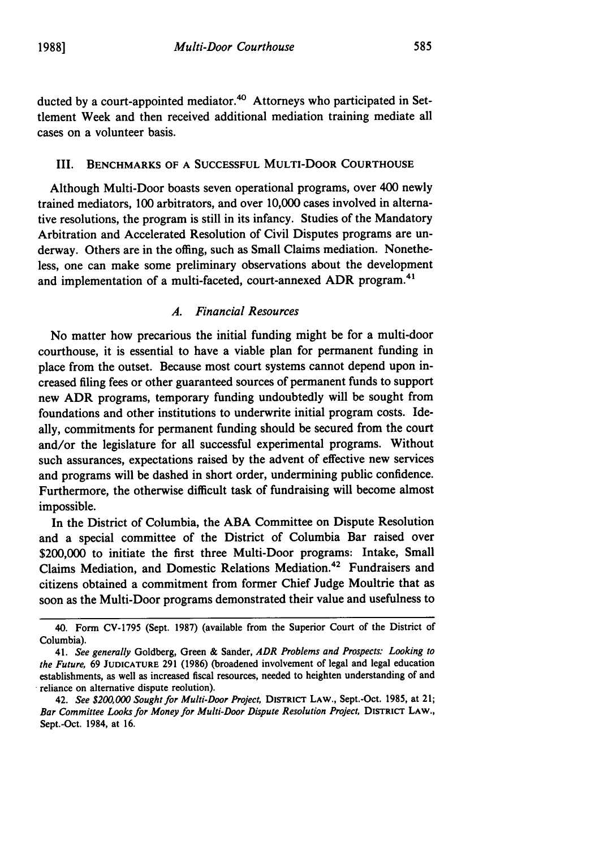ducted by a court-appointed mediator.<sup>40</sup> Attorneys who participated in Settlement Week and then received additional mediation training mediate all cases on a volunteer basis.

# III. BENCHMARKS OF A SUCCESSFUL MULTI-DOOR COURTHOUSE

Although Multi-Door boasts seven operational programs, over 400 newly trained mediators, 100 arbitrators, and over 10,000 cases involved in alternative resolutions, the program is still in its infancy. Studies of the Mandatory Arbitration and Accelerated Resolution of Civil Disputes programs are underway. Others are in the offing, such as Small Claims mediation. Nonetheless, one can make some preliminary observations about the development and implementation of a multi-faceted, court-annexed ADR program.<sup>41</sup>

# *A. Financial Resources*

No matter how precarious the initial funding might be for a multi-door courthouse, it is essential to have a viable plan for permanent funding in place from the outset. Because most court systems cannot depend upon increased filing fees or other guaranteed sources of permanent funds to support new ADR programs, temporary funding undoubtedly will be sought from foundations and other institutions to underwrite initial program costs. Ideally, commitments for permanent funding should be secured from the court and/or the legislature for all successful experimental programs. Without such assurances, expectations raised by the advent of effective new services and programs will be dashed in short order, undermining public confidence. Furthermore, the otherwise difficult task of fundraising will become almost impossible.

In the District of Columbia, the ABA Committee on Dispute Resolution and a special committee of the District of Columbia Bar raised over \$200,000 to initiate the first three Multi-Door programs: Intake, Small Claims Mediation, and Domestic Relations Mediation.42 Fundraisers and citizens obtained a commitment from former Chief Judge Moultrie that as soon as the Multi-Door programs demonstrated their value and usefulness to

<sup>40.</sup> Form **CV-1795** (Sept. 1987) (available from the Superior Court of the District of Columbia).

<sup>41.</sup> *See generally* Goldberg, Green & Sander, *ADR Problems and Prospects: Looking to the Future,* 69 **JUDICATURE** 291 (1986) (broadened involvement of legal and legal education establishments, as well as increased fiscal resources, needed to heighten understanding of and reliance on alternative dispute reolution).

<sup>42.</sup> *See \$200,000 Soughtfor Multi-Door Project,* **DISTRICT** LAW., Sept.-Oct. 1985, at 21; *Bar Committee Looks for Money for Multi-Door Dispute Resolution Project,* DISTRICT LAW., Sept.-Oct. 1984, at 16.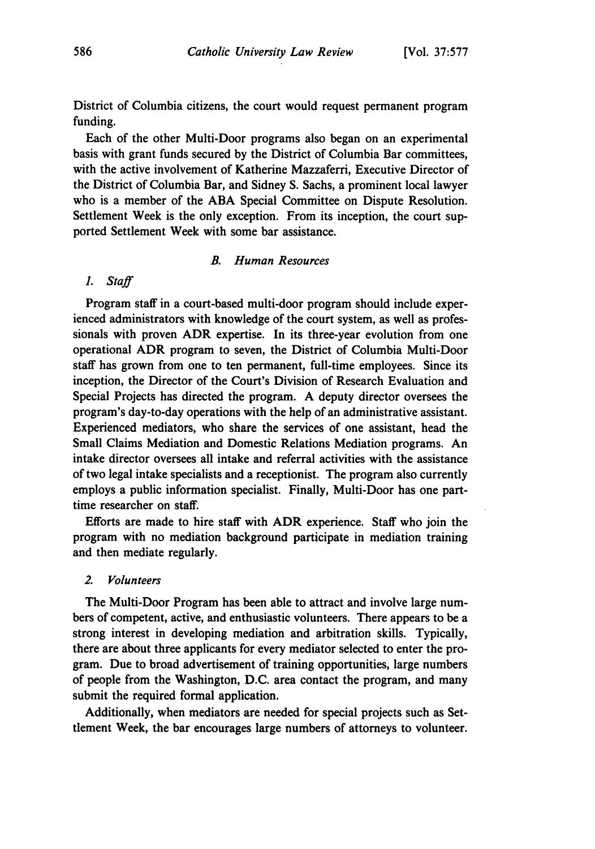District of Columbia citizens, the court would request permanent program funding.

Each of the other Multi-Door programs also began on an experimental basis with grant funds secured **by** the District of Columbia Bar committees, with the active involvement of Katherine Mazzaferri, Executive Director of the District of Columbia Bar, and Sidney **S.** Sachs, a prominent local lawyer who is a member of the **ABA** Special Committee on Dispute Resolution. Settlement Week is the only exception. From its inception, the court supported Settlement Week with some bar assistance.

### *B. Human Resources*

*1. Staff*

Program staff in a court-based multi-door program should include experienced administrators with knowledge of the court system, as well as professionals with proven ADR expertise. In its three-year evolution from one operational ADR program to seven, the District of Columbia Multi-Door staff has grown from one to ten permanent, full-time employees. Since its inception, the Director of the Court's Division of Research Evaluation and Special Projects has directed the program. **A** deputy director oversees the program's day-to-day operations with the help of an administrative assistant. Experienced mediators, who share the services of one assistant, head the Small Claims Mediation and Domestic Relations Mediation programs. An intake director oversees all intake and referral activities with the assistance of two legal intake specialists and a receptionist. The program also currently employs a public information specialist. Finally, Multi-Door has one parttime researcher on staff.

Efforts are made to hire staff with ADR experience. Staff who join the program with no mediation background participate in mediation training and then mediate regularly.

#### *2. Volunteers*

The Multi-Door Program has been able to attract and involve large numbers of competent, active, and enthusiastic volunteers. There appears to be a strong interest in developing mediation and arbitration skills. Typically, there are about three applicants for every mediator selected to enter the program. Due to broad advertisement of training opportunities, large numbers of people from the Washington, **D.C.** area contact the program, and many submit the required formal application.

Additionally, when mediators are needed for special projects such as Settlement Week, the bar encourages large numbers of attorneys to volunteer.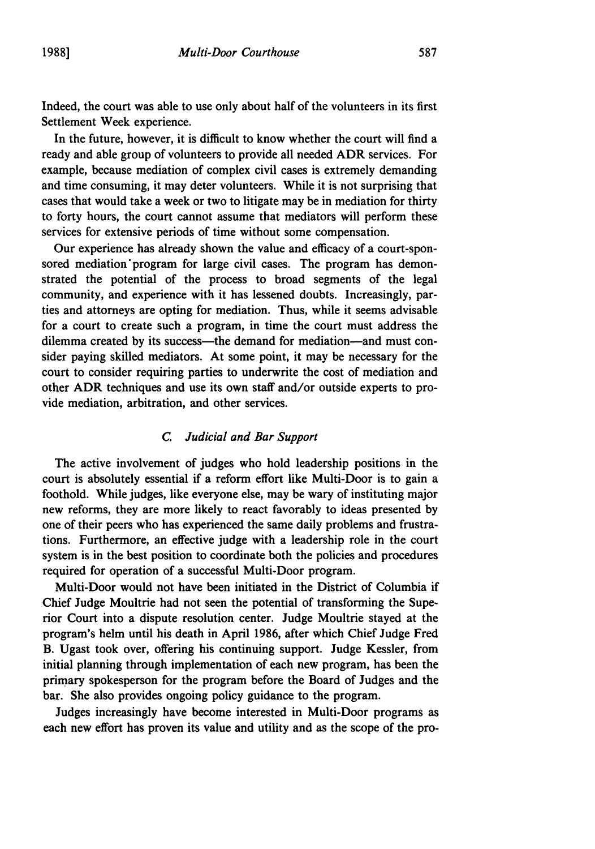Indeed, the court was able to use only about half of the volunteers in its first Settlement Week experience.

In the future, however, it is difficult to know whether the court will find a ready and able group of volunteers to provide all needed ADR services. For example, because mediation of complex civil cases is extremely demanding and time consuming, it may deter volunteers. While it is not surprising that cases that would take a week or two to litigate may be in mediation for thirty to forty hours, the court cannot assume that mediators will perform these services for extensive periods of time without some compensation.

Our experience has already shown the value and efficacy of a court-sponsored mediation' program for large civil cases. The program has demonstrated the potential of the process to broad segments of the legal community, and experience with it has lessened doubts. Increasingly, parties and attorneys are opting for mediation. Thus, while it seems advisable for a court to create such a program, in time the court must address the dilemma created by its success—the demand for mediation—and must consider paying skilled mediators. At some point, it may be necessary for the court to consider requiring parties to underwrite the cost of mediation and other ADR techniques and use its own staff and/or outside experts to provide mediation, arbitration, and other services.

# *C. Judicial and Bar Support*

The active involvement of judges who hold leadership positions in the court is absolutely essential if a reform effort like Multi-Door is to gain a foothold. While judges, like everyone else, may be wary of instituting major new reforms, they are more likely to react favorably to ideas presented by one of their peers who has experienced the same daily problems and frustrations. Furthermore, an effective judge with a leadership role in the court system is in the best position to coordinate both the policies and procedures required for operation of a successful Multi-Door program.

Multi-Door would not have been initiated in the District of Columbia if Chief Judge Moultrie had not seen the potential of transforming the Superior Court into a dispute resolution center. Judge Moultrie stayed at the program's helm until his death in April 1986, after which Chief Judge Fred B. Ugast took over, offering his continuing support. Judge Kessler, from initial planning through implementation of each new program, has been the primary spokesperson for the program before the Board of Judges and the bar. She also provides ongoing policy guidance to the program.

Judges increasingly have become interested in Multi-Door programs as each new effort has proven its value and utility and as the scope of the pro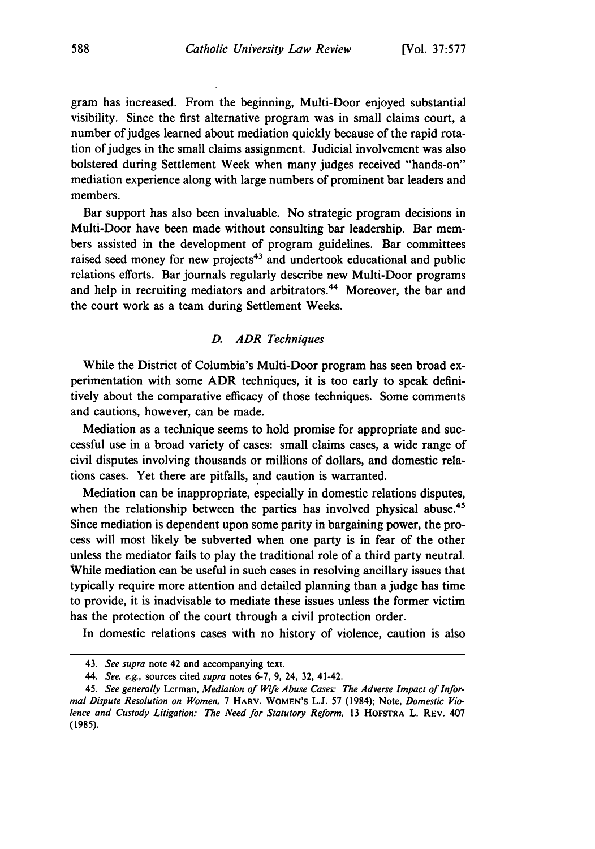gram has increased. From the beginning, Multi-Door enjoyed substantial visibility. Since the first alternative program was in small claims court, a number of judges learned about mediation quickly because of the rapid rotation of judges in the small claims assignment. Judicial involvement was also bolstered during Settlement Week when many judges received "hands-on" mediation experience along with large numbers of prominent bar leaders and members.

Bar support has also been invaluable. No strategic program decisions in Multi-Door have been made without consulting bar leadership. Bar members assisted in the development of program guidelines. Bar committees raised seed money for new projects<sup>43</sup> and undertook educational and public relations efforts. Bar journals regularly describe new Multi-Door programs and help in recruiting mediators and arbitrators.<sup>44</sup> Moreover, the bar and the court work as a team during Settlement Weeks.

#### *D. ADR Techniques*

While the District of Columbia's Multi-Door program has seen broad experimentation with some ADR techniques, it is too early to speak definitively about the comparative efficacy of those techniques. Some comments and cautions, however, can be made.

Mediation as a technique seems to hold promise for appropriate and successful use in a broad variety of cases: small claims cases, a wide range of civil disputes involving thousands or millions of dollars, and domestic relations cases. Yet there are pitfalls, and caution is warranted.

Mediation can be inappropriate, especially in domestic relations disputes, when the relationship between the parties has involved physical abuse.<sup>4</sup> Since mediation is dependent upon some parity in bargaining power, the process will most likely be subverted when one party is in fear of the other unless the mediator fails to play the traditional role of a third party neutral. While mediation can be useful in such cases in resolving ancillary issues that typically require more attention and detailed planning than a judge has time to provide, it is inadvisable to mediate these issues unless the former victim has the protection of the court through a civil protection order.

In domestic relations cases with no history of violence, caution is also

<sup>43.</sup> *See supra* note 42 and accompanying text.

*<sup>44.</sup> See, e.g.,* sources cited *supra* notes 6-7, 9, 24, 32, 41-42.

<sup>45.</sup> *See generally* Lerman, *Mediation of Wife Abuse Cases: The Adverse Impact of Informal Dispute Resolution on Women,* 7 HARV. **WOMEN'S** L.J. **57** (1984); Note, *Domestic Violence and Custody Litigation: The Need for Statutory Reform,* 13 HOFSTRA L. REv. 407 (1985).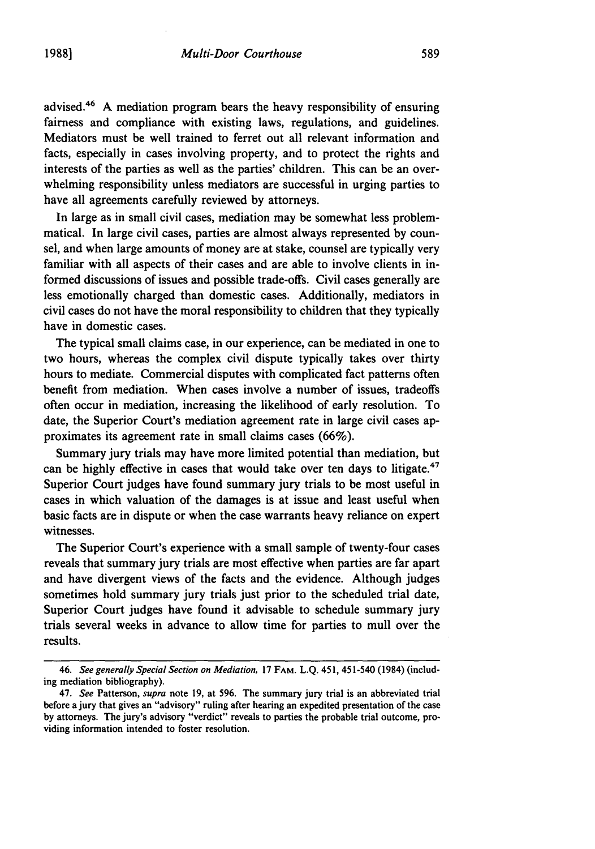advised.<sup>46</sup> A mediation program bears the heavy responsibility of ensuring fairness and compliance with existing laws, regulations, and guidelines. Mediators must be well trained to ferret out all relevant information and facts, especially in cases involving property, and to protect the rights and interests of the parties as well as the parties' children. This can be an overwhelming responsibility unless mediators are successful in urging parties to have all agreements carefully reviewed by attorneys.

In large as in small civil cases, mediation may be somewhat less problemmatical. In large civil cases, parties are almost always represented by counsel, and when large amounts of money are at stake, counsel are typically very familiar with all aspects of their cases and are able to involve clients in informed discussions of issues and possible trade-offs. Civil cases generally are less emotionally charged than domestic cases. Additionally, mediators in civil cases do not have the moral responsibility to children that they typically have in domestic cases.

The typical small claims case, in our experience, can be mediated in one to two hours, whereas the complex civil dispute typically takes over thirty hours to mediate. Commercial disputes with complicated fact patterns often benefit from mediation. When cases involve a number of issues, tradeoffs often occur in mediation, increasing the likelihood of early resolution. To date, the Superior Court's mediation agreement rate in large civil cases approximates its agreement rate in small claims cases (66%).

Summary jury trials may have more limited potential than mediation, but can be highly effective in cases that would take over ten days to litigate.<sup>47</sup> Superior Court judges have found summary jury trials to be most useful in cases in which valuation of the damages is at issue and least useful when basic facts are in dispute or when the case warrants heavy reliance on expert witnesses.

The Superior Court's experience with a small sample of twenty-four cases reveals that summary jury trials are most effective when parties are far apart and have divergent views of the facts and the evidence. Although judges sometimes hold summary jury trials just prior to the scheduled trial date, Superior Court judges have found it advisable to schedule summary jury trials several weeks in advance to allow time for parties to mull over the results.

<sup>46.</sup> See generally Special *Section on Mediation,* 17 FAM. L.Q. 451, 451-540 (1984) (including mediation bibliography).

<sup>47.</sup> *See* Patterson, *supra* note 19, at 596. The summary jury trial is an abbreviated trial before a jury that gives an "advisory" ruling after hearing an expedited presentation of the case by attorneys. The jury's advisory "verdict" reveals to parties the probable trial outcome, providing information intended to foster resolution.